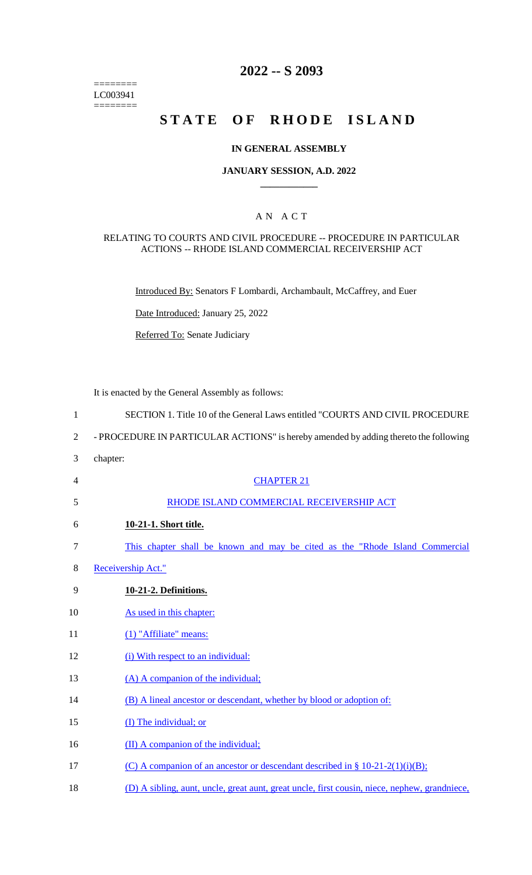======== LC003941  $=$ 

## **2022 -- S 2093**

# **STATE OF RHODE ISLAND**

## **IN GENERAL ASSEMBLY**

## **JANUARY SESSION, A.D. 2022 \_\_\_\_\_\_\_\_\_\_\_\_**

## A N A C T

### RELATING TO COURTS AND CIVIL PROCEDURE -- PROCEDURE IN PARTICULAR ACTIONS -- RHODE ISLAND COMMERCIAL RECEIVERSHIP ACT

Introduced By: Senators F Lombardi, Archambault, McCaffrey, and Euer

Date Introduced: January 25, 2022

Referred To: Senate Judiciary

It is enacted by the General Assembly as follows:

| $\mathbf{1}$   | SECTION 1. Title 10 of the General Laws entitled "COURTS AND CIVIL PROCEDURE                  |
|----------------|-----------------------------------------------------------------------------------------------|
| $\overline{2}$ | - PROCEDURE IN PARTICULAR ACTIONS" is hereby amended by adding thereto the following          |
| 3              | chapter:                                                                                      |
| $\overline{4}$ | <b>CHAPTER 21</b>                                                                             |
| 5              | RHODE ISLAND COMMERCIAL RECEIVERSHIP ACT                                                      |
| 6              | 10-21-1. Short title.                                                                         |
| $\tau$         | This chapter shall be known and may be cited as the "Rhode Island Commercial"                 |
| 8              | Receivership Act."                                                                            |
| 9              | 10-21-2. Definitions.                                                                         |
| 10             | As used in this chapter:                                                                      |
| 11             | (1) "Affiliate" means:                                                                        |
| 12             | (i) With respect to an individual:                                                            |
| 13             | (A) A companion of the individual;                                                            |
| 14             | (B) A lineal ancestor or descendant, whether by blood or adoption of:                         |
| 15             | (I) The individual; or                                                                        |
| 16             | (II) A companion of the individual;                                                           |
| 17             | (C) A companion of an ancestor or descendant described in $\S$ 10-21-2(1)(i)(B);              |
| 18             | (D) A sibling, aunt, uncle, great aunt, great uncle, first cousin, niece, nephew, grandniece, |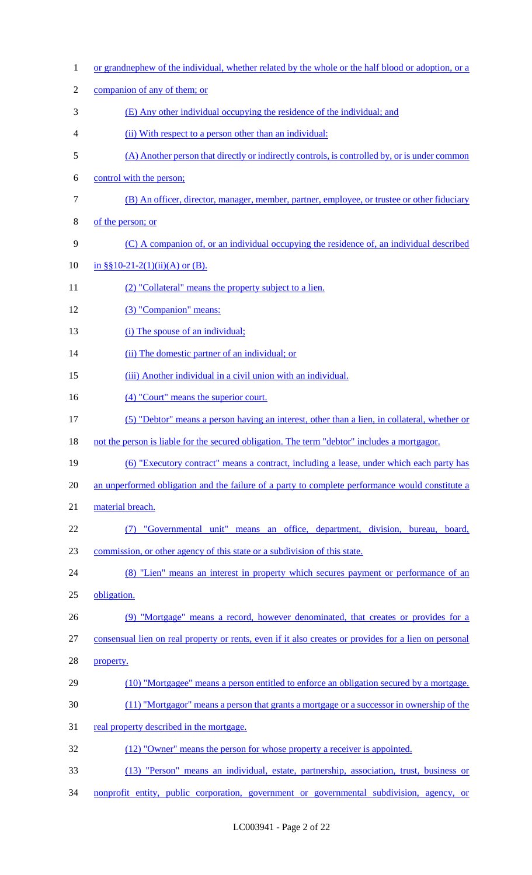| $\mathbf{1}$   | or grandnephew of the individual, whether related by the whole or the half blood or adoption, or a    |
|----------------|-------------------------------------------------------------------------------------------------------|
| $\overline{c}$ | companion of any of them; or                                                                          |
| 3              | (E) Any other individual occupying the residence of the individual; and                               |
| 4              | (ii) With respect to a person other than an individual:                                               |
| 5              | (A) Another person that directly or indirectly controls, is controlled by, or is under common         |
| 6              | control with the person;                                                                              |
| $\tau$         | (B) An officer, director, manager, member, partner, employee, or trustee or other fiduciary           |
| 8              | of the person; or                                                                                     |
| 9              | (C) A companion of, or an individual occupying the residence of, an individual described              |
| 10             | in $\S(10-21-2(1))$ (ii)(A) or (B).                                                                   |
| 11             | (2) "Collateral" means the property subject to a lien.                                                |
| 12             | (3) "Companion" means:                                                                                |
| 13             | (i) The spouse of an individual;                                                                      |
| 14             | (ii) The domestic partner of an individual; or                                                        |
| 15             | (iii) Another individual in a civil union with an individual.                                         |
| 16             | (4) "Court" means the superior court.                                                                 |
| 17             | (5) "Debtor" means a person having an interest, other than a lien, in collateral, whether or          |
| 18             | not the person is liable for the secured obligation. The term "debtor" includes a mortgagor.          |
| 19             | (6) "Executory contract" means a contract, including a lease, under which each party has              |
| 20             | an unperformed obligation and the failure of a party to complete performance would constitute a       |
| 21             | material breach.                                                                                      |
| 22             | "Governmental unit" means an office, department, division, bureau, board,                             |
| 23             | commission, or other agency of this state or a subdivision of this state.                             |
| 24             | (8) "Lien" means an interest in property which secures payment or performance of an                   |
| 25             | obligation.                                                                                           |
| 26             | (9) "Mortgage" means a record, however denominated, that creates or provides for a                    |
| 27             | consensual lien on real property or rents, even if it also creates or provides for a lien on personal |
| 28             | property.                                                                                             |
| 29             | (10) "Mortgagee" means a person entitled to enforce an obligation secured by a mortgage.              |
| 30             | (11) "Mortgagor" means a person that grants a mortgage or a successor in ownership of the             |
| 31             | real property described in the mortgage.                                                              |
| 32             | (12) "Owner" means the person for whose property a receiver is appointed.                             |
| 33             | (13) "Person" means an individual, estate, partnership, association, trust, business or               |
| 34             | nonprofit entity, public corporation, government or governmental subdivision, agency, or              |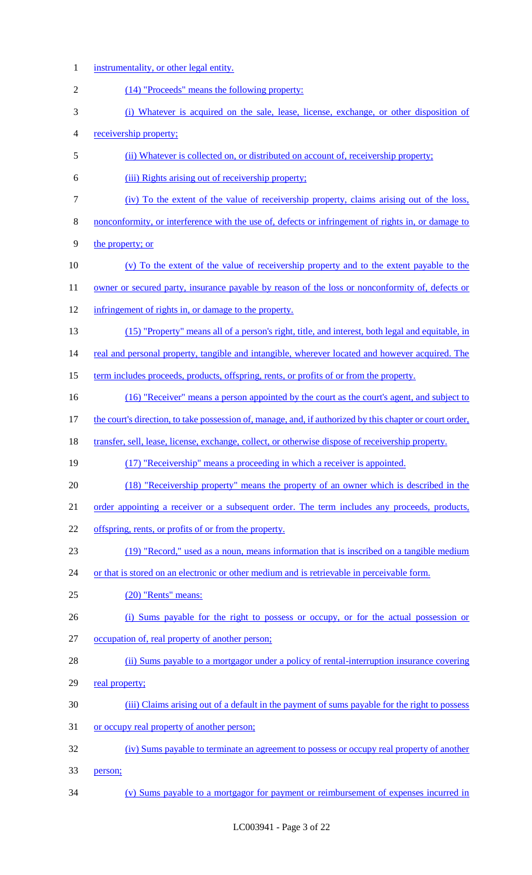- instrumentality, or other legal entity.
- (14) "Proceeds" means the following property:
- (i) Whatever is acquired on the sale, lease, license, exchange, or other disposition of
- receivership property;
- (ii) Whatever is collected on, or distributed on account of, receivership property;
- (iii) Rights arising out of receivership property;
- (iv) To the extent of the value of receivership property, claims arising out of the loss,
- nonconformity, or interference with the use of, defects or infringement of rights in, or damage to
- the property; or
- (v) To the extent of the value of receivership property and to the extent payable to the
- 11 owner or secured party, insurance payable by reason of the loss or nonconformity of, defects or
- infringement of rights in, or damage to the property.
- (15) "Property" means all of a person's right, title, and interest, both legal and equitable, in

14 real and personal property, tangible and intangible, wherever located and however acquired. The

- term includes proceeds, products, offspring, rents, or profits of or from the property.
- (16) "Receiver" means a person appointed by the court as the court's agent, and subject to
- the court's direction, to take possession of, manage, and, if authorized by this chapter or court order,
- 18 transfer, sell, lease, license, exchange, collect, or otherwise dispose of receivership property.
- (17) "Receivership" means a proceeding in which a receiver is appointed.
- (18) "Receivership property" means the property of an owner which is described in the
- 21 order appointing a receiver or a subsequent order. The term includes any proceeds, products,
- 22 offspring, rents, or profits of or from the property.
- (19) "Record," used as a noun, means information that is inscribed on a tangible medium
- 24 or that is stored on an electronic or other medium and is retrievable in perceivable form.
- (20) "Rents" means:
- (i) Sums payable for the right to possess or occupy, or for the actual possession or occupation of, real property of another person;
- 
- (ii) Sums payable to a mortgagor under a policy of rental-interruption insurance covering 29 real property;
- (iii) Claims arising out of a default in the payment of sums payable for the right to possess
- 31 or occupy real property of another person;
- (iv) Sums payable to terminate an agreement to possess or occupy real property of another person;
- (v) Sums payable to a mortgagor for payment or reimbursement of expenses incurred in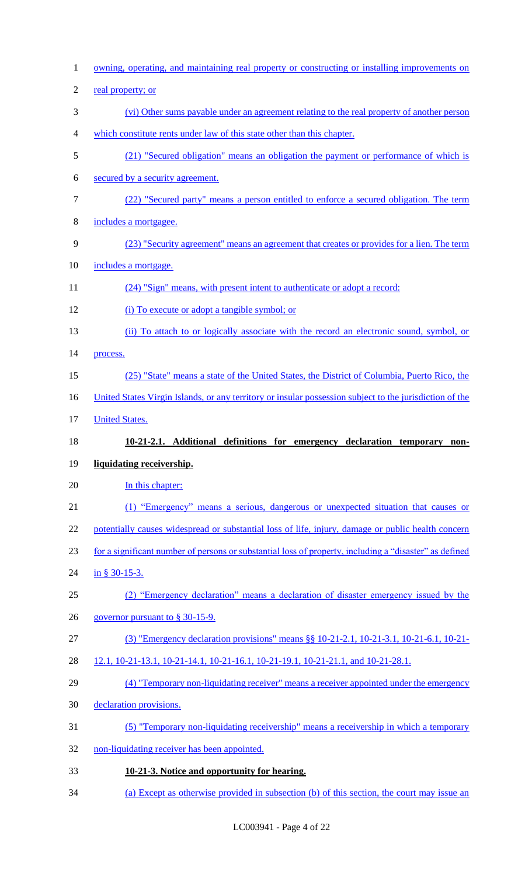| $\mathbf{1}$   | <u>owning, operating, and maintaining real property or constructing or installing improvements on</u>   |
|----------------|---------------------------------------------------------------------------------------------------------|
| $\overline{c}$ | real property; or                                                                                       |
| 3              | (vi) Other sums payable under an agreement relating to the real property of another person              |
| $\overline{4}$ | which constitute rents under law of this state other than this chapter.                                 |
| 5              | (21) "Secured obligation" means an obligation the payment or performance of which is                    |
| 6              | secured by a security agreement.                                                                        |
| $\tau$         | (22) "Secured party" means a person entitled to enforce a secured obligation. The term                  |
| 8              | includes a mortgagee.                                                                                   |
| $\mathbf{9}$   | (23) "Security agreement" means an agreement that creates or provides for a lien. The term              |
| 10             | includes a mortgage.                                                                                    |
| 11             | (24) "Sign" means, with present intent to authenticate or adopt a record:                               |
| 12             | (i) To execute or adopt a tangible symbol; or                                                           |
| 13             | (ii) To attach to or logically associate with the record an electronic sound, symbol, or                |
| 14             | process.                                                                                                |
| 15             | (25) "State" means a state of the United States, the District of Columbia, Puerto Rico, the             |
| 16             | United States Virgin Islands, or any territory or insular possession subject to the jurisdiction of the |
| 17             | <b>United States.</b>                                                                                   |
|                |                                                                                                         |
| 18             | 10-21-2.1. Additional definitions for emergency declaration temporary non-                              |
| 19             | liquidating receivership.                                                                               |
| 20             | In this chapter:                                                                                        |
| 21             | (1) "Emergency" means a serious, dangerous or unexpected situation that causes or                       |
| 22             | potentially causes widespread or substantial loss of life, injury, damage or public health concern      |
| 23             | for a significant number of persons or substantial loss of property, including a "disaster" as defined  |
| 24             | in § 30-15-3.                                                                                           |
| 25             | (2) "Emergency declaration" means a declaration of disaster emergency issued by the                     |
| 26             | governor pursuant to § 30-15-9.                                                                         |
| 27             | (3) "Emergency declaration provisions" means §§ 10-21-2.1, 10-21-3.1, 10-21-6.1, 10-21-                 |
| 28             | 12.1, 10-21-13.1, 10-21-14.1, 10-21-16.1, 10-21-19.1, 10-21-21.1, and 10-21-28.1.                       |
| 29             | (4) "Temporary non-liquidating receiver" means a receiver appointed under the emergency                 |
| 30             | declaration provisions.                                                                                 |
| 31             | (5) "Temporary non-liquidating receivership" means a receivership in which a temporary                  |
| 32             | non-liquidating receiver has been appointed.                                                            |
| 33             | 10-21-3. Notice and opportunity for hearing.                                                            |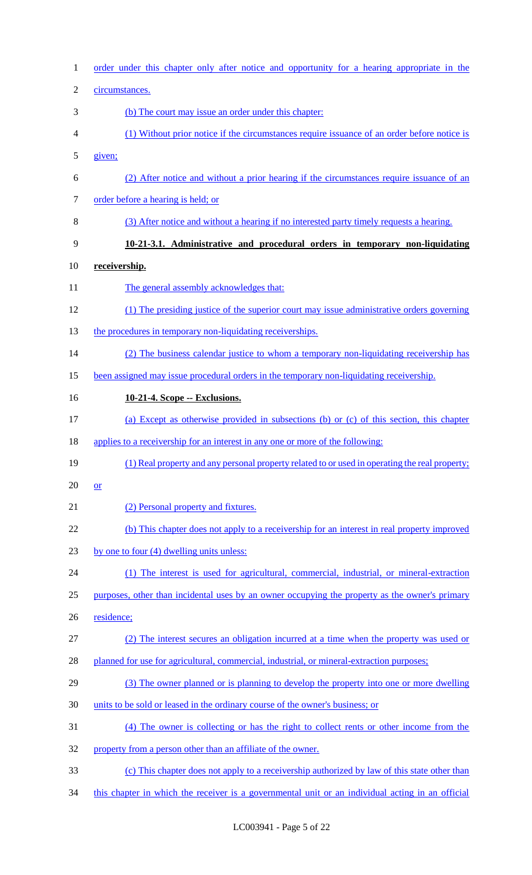| $\mathbf{1}$   | order under this chapter only after notice and opportunity for a hearing appropriate in the      |
|----------------|--------------------------------------------------------------------------------------------------|
| $\overline{2}$ | circumstances.                                                                                   |
| 3              | (b) The court may issue an order under this chapter:                                             |
| 4              | (1) Without prior notice if the circumstances require issuance of an order before notice is      |
| 5              | given;                                                                                           |
| 6              | (2) After notice and without a prior hearing if the circumstances require issuance of an         |
| $\tau$         | order before a hearing is held; or                                                               |
| $8\,$          | (3) After notice and without a hearing if no interested party timely requests a hearing.         |
| 9              | 10-21-3.1. Administrative and procedural orders in temporary non-liquidating                     |
| 10             | receivership.                                                                                    |
| 11             | The general assembly acknowledges that:                                                          |
| 12             | (1) The presiding justice of the superior court may issue administrative orders governing        |
| 13             | the procedures in temporary non-liquidating receiverships.                                       |
| 14             | (2) The business calendar justice to whom a temporary non-liquidating receivership has           |
| 15             | been assigned may issue procedural orders in the temporary non-liquidating receivership.         |
| 16             | 10-21-4. Scope -- Exclusions.                                                                    |
| 17             | (a) Except as otherwise provided in subsections (b) or (c) of this section, this chapter         |
| 18             | applies to a receivership for an interest in any one or more of the following:                   |
| 19             | (1) Real property and any personal property related to or used in operating the real property;   |
| 20             | <b>or</b>                                                                                        |
| 21             | (2) Personal property and fixtures.                                                              |
| 22             | (b) This chapter does not apply to a receivership for an interest in real property improved      |
| 23             | by one to four (4) dwelling units unless:                                                        |
| 24             | (1) The interest is used for agricultural, commercial, industrial, or mineral-extraction         |
| 25             | purposes, other than incidental uses by an owner occupying the property as the owner's primary   |
| 26             | residence;                                                                                       |
| 27             | (2) The interest secures an obligation incurred at a time when the property was used or          |
| 28             | planned for use for agricultural, commercial, industrial, or mineral-extraction purposes;        |
| 29             | (3) The owner planned or is planning to develop the property into one or more dwelling           |
| 30             | units to be sold or leased in the ordinary course of the owner's business; or                    |
| 31             | (4) The owner is collecting or has the right to collect rents or other income from the           |
| 32             | property from a person other than an affiliate of the owner.                                     |
| 33             | (c) This chapter does not apply to a receivership authorized by law of this state other than     |
| 34             | this chapter in which the receiver is a governmental unit or an individual acting in an official |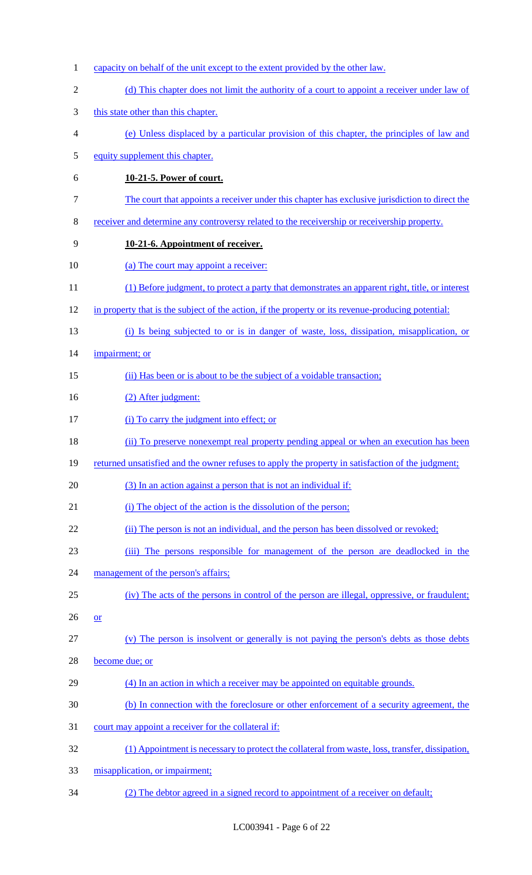1 capacity on behalf of the unit except to the extent provided by the other law. 2 (d) This chapter does not limit the authority of a court to appoint a receiver under law of 3 this state other than this chapter. 4 (e) Unless displaced by a particular provision of this chapter, the principles of law and 5 equity supplement this chapter. 6 **10-21-5. Power of court.**  7 The court that appoints a receiver under this chapter has exclusive jurisdiction to direct the 8 receiver and determine any controversy related to the receivership or receivership property. 9 **10-21-6. Appointment of receiver.**  10 (a) The court may appoint a receiver: 11 (1) Before judgment, to protect a party that demonstrates an apparent right, title, or interest 12 in property that is the subject of the action, if the property or its revenue-producing potential: 13 (i) Is being subjected to or is in danger of waste, loss, dissipation, misapplication, or 14 impairment; or 15 (ii) Has been or is about to be the subject of a voidable transaction; 16 (2) After judgment: 17 (i) To carry the judgment into effect; or 18 (ii) To preserve nonexempt real property pending appeal or when an execution has been 19 returned unsatisfied and the owner refuses to apply the property in satisfaction of the judgment; 20 (3) In an action against a person that is not an individual if: 21 (i) The object of the action is the dissolution of the person; 22 (ii) The person is not an individual, and the person has been dissolved or revoked; 23 (iii) The persons responsible for management of the person are deadlocked in the 24 management of the person's affairs; 25 (iv) The acts of the persons in control of the person are illegal, oppressive, or fraudulent;  $26 \quad or \quad$ 27 (v) The person is insolvent or generally is not paying the person's debts as those debts 28 become due; or 29 (4) In an action in which a receiver may be appointed on equitable grounds. 30 (b) In connection with the foreclosure or other enforcement of a security agreement, the 31 court may appoint a receiver for the collateral if: 32 (1) Appointment is necessary to protect the collateral from waste, loss, transfer, dissipation, 33 misapplication, or impairment; 34 (2) The debtor agreed in a signed record to appointment of a receiver on default;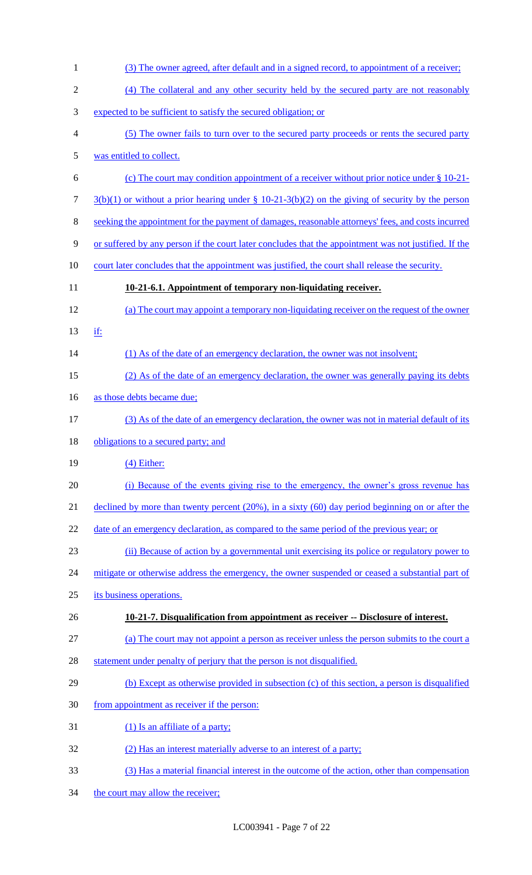(3) The owner agreed, after default and in a signed record, to appointment of a receiver; (4) The collateral and any other security held by the secured party are not reasonably expected to be sufficient to satisfy the secured obligation; or (5) The owner fails to turn over to the secured party proceeds or rents the secured party was entitled to collect. (c) The court may condition appointment of a receiver without prior notice under § 10-21-  $3(b)(1)$  or without a prior hearing under § 10-21-3(b)(2) on the giving of security by the person seeking the appointment for the payment of damages, reasonable attorneys' fees, and costs incurred or suffered by any person if the court later concludes that the appointment was not justified. If the 10 court later concludes that the appointment was justified, the court shall release the security. **10-21-6.1. Appointment of temporary non-liquidating receiver.**  (a) The court may appoint a temporary non-liquidating receiver on the request of the owner if: 14 (1) As of the date of an emergency declaration, the owner was not insolvent; (2) As of the date of an emergency declaration, the owner was generally paying its debts 16 as those debts became due; (3) As of the date of an emergency declaration, the owner was not in material default of its 18 obligations to a secured party; and 19 (4) Either: (i) Because of the events giving rise to the emergency, the owner's gross revenue has 21 declined by more than twenty percent (20%), in a sixty (60) day period beginning on or after the 22 date of an emergency declaration, as compared to the same period of the previous year; or (ii) Because of action by a governmental unit exercising its police or regulatory power to 24 mitigate or otherwise address the emergency, the owner suspended or ceased a substantial part of its business operations. **10-21-7. Disqualification from appointment as receiver -- Disclosure of interest.**  (a) The court may not appoint a person as receiver unless the person submits to the court a 28 statement under penalty of perjury that the person is not disqualified. (b) Except as otherwise provided in subsection (c) of this section, a person is disqualified from appointment as receiver if the person: (1) Is an affiliate of a party; (2) Has an interest materially adverse to an interest of a party; (3) Has a material financial interest in the outcome of the action, other than compensation 34 the court may allow the receiver;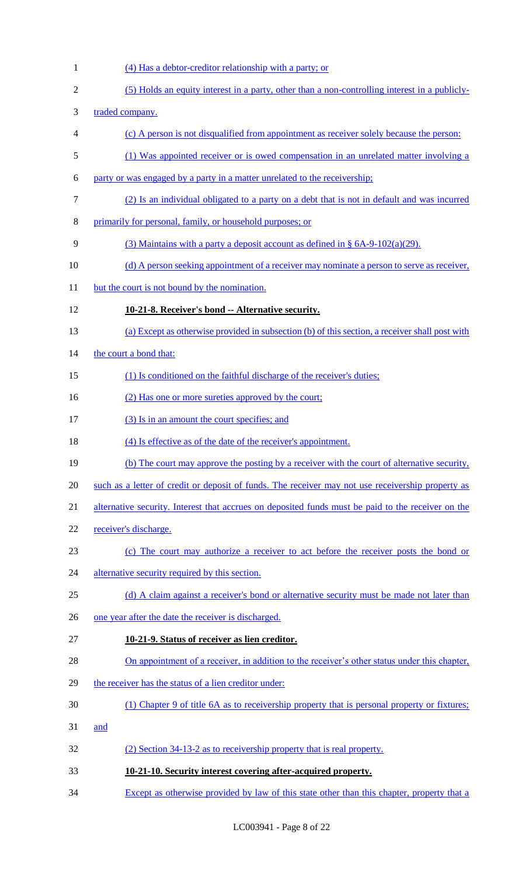1 (4) Has a debtor-creditor relationship with a party; or 2 (5) Holds an equity interest in a party, other than a non-controlling interest in a publicly-3 traded company. 4 (c) A person is not disqualified from appointment as receiver solely because the person: 5 (1) Was appointed receiver or is owed compensation in an unrelated matter involving a 6 party or was engaged by a party in a matter unrelated to the receivership; 7 (2) Is an individual obligated to a party on a debt that is not in default and was incurred 8 primarily for personal, family, or household purposes; or 9 (3) Maintains with a party a deposit account as defined in § 6A-9-102(a)(29). 10 (d) A person seeking appointment of a receiver may nominate a person to serve as receiver, 11 but the court is not bound by the nomination. 12 **10-21-8. Receiver's bond -- Alternative security.**  13 (a) Except as otherwise provided in subsection (b) of this section, a receiver shall post with 14 the court a bond that: 15 (1) Is conditioned on the faithful discharge of the receiver's duties; 16 (2) Has one or more sureties approved by the court; 17 (3) Is in an amount the court specifies; and 18 (4) Is effective as of the date of the receiver's appointment. 19 (b) The court may approve the posting by a receiver with the court of alternative security, 20 such as a letter of credit or deposit of funds. The receiver may not use receivership property as 21 alternative security. Interest that accrues on deposited funds must be paid to the receiver on the 22 receiver's discharge. 23 (c) The court may authorize a receiver to act before the receiver posts the bond or 24 alternative security required by this section. 25 (d) A claim against a receiver's bond or alternative security must be made not later than 26 one year after the date the receiver is discharged. 27 **10-21-9. Status of receiver as lien creditor.**  28 On appointment of a receiver, in addition to the receiver's other status under this chapter, 29 the receiver has the status of a lien creditor under: 30 (1) Chapter 9 of title 6A as to receivership property that is personal property or fixtures; 31 and 32 (2) Section 34-13-2 as to receivership property that is real property. 33 **10-21-10. Security interest covering after-acquired property.**  34 Except as otherwise provided by law of this state other than this chapter, property that a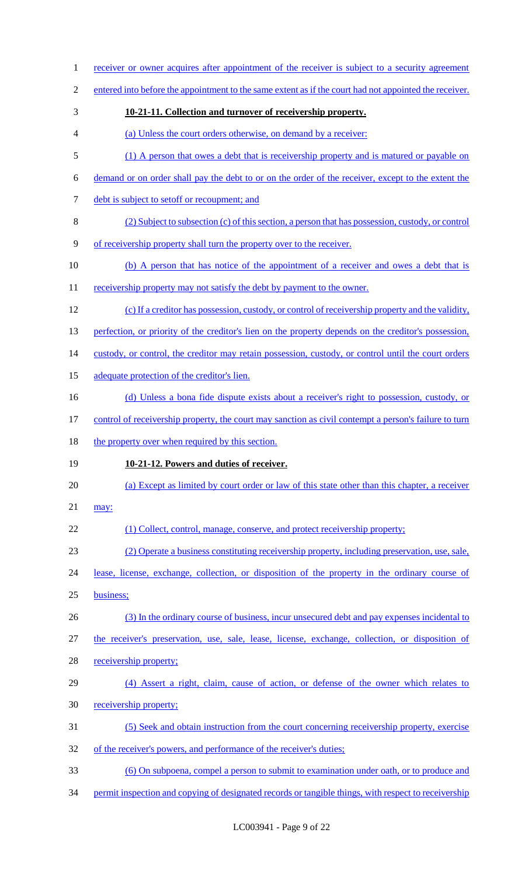1 receiver or owner acquires after appointment of the receiver is subject to a security agreement entered into before the appointment to the same extent as if the court had not appointed the receiver. **10-21-11. Collection and turnover of receivership property.**  (a) Unless the court orders otherwise, on demand by a receiver: (1) A person that owes a debt that is receivership property and is matured or payable on demand or on order shall pay the debt to or on the order of the receiver, except to the extent the debt is subject to setoff or recoupment; and (2) Subject to subsection (c) of this section, a person that has possession, custody, or control of receivership property shall turn the property over to the receiver. 10 (b) A person that has notice of the appointment of a receiver and owes a debt that is 11 receivership property may not satisfy the debt by payment to the owner. (c) If a creditor has possession, custody, or control of receivership property and the validity, 13 perfection, or priority of the creditor's lien on the property depends on the creditor's possession, 14 custody, or control, the creditor may retain possession, custody, or control until the court orders adequate protection of the creditor's lien. (d) Unless a bona fide dispute exists about a receiver's right to possession, custody, or 17 control of receivership property, the court may sanction as civil contempt a person's failure to turn 18 the property over when required by this section. **10-21-12. Powers and duties of receiver.**  (a) Except as limited by court order or law of this state other than this chapter, a receiver may: 22 (1) Collect, control, manage, conserve, and protect receivership property; (2) Operate a business constituting receivership property, including preservation, use, sale, lease, license, exchange, collection, or disposition of the property in the ordinary course of business; (3) In the ordinary course of business, incur unsecured debt and pay expenses incidental to the receiver's preservation, use, sale, lease, license, exchange, collection, or disposition of receivership property; (4) Assert a right, claim, cause of action, or defense of the owner which relates to receivership property; (5) Seek and obtain instruction from the court concerning receivership property, exercise 32 of the receiver's powers, and performance of the receiver's duties; (6) On subpoena, compel a person to submit to examination under oath, or to produce and 34 permit inspection and copying of designated records or tangible things, with respect to receivership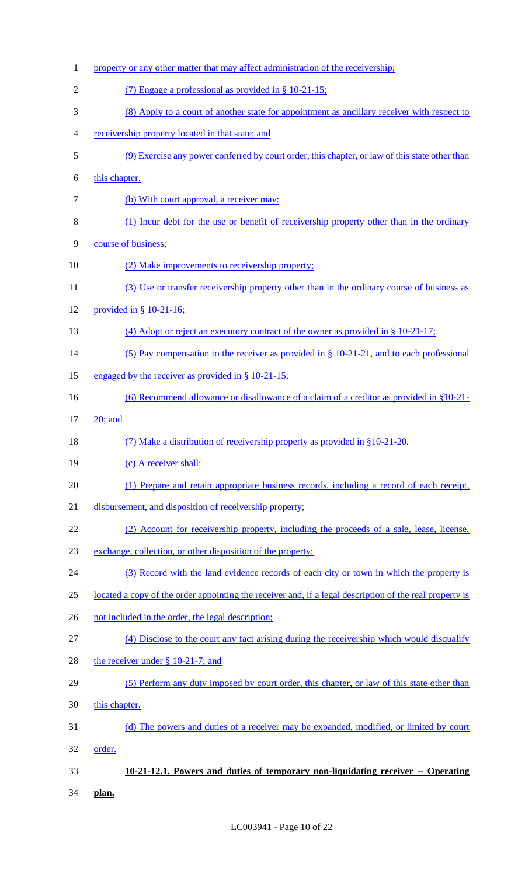| $\mathbf{1}$   | property or any other matter that may affect administration of the receivership;                        |
|----------------|---------------------------------------------------------------------------------------------------------|
| $\overline{2}$ | (7) Engage a professional as provided in § 10-21-15;                                                    |
| 3              | (8) Apply to a court of another state for appointment as ancillary receiver with respect to             |
| 4              | receivership property located in that state; and                                                        |
| 5              | (9) Exercise any power conferred by court order, this chapter, or law of this state other than          |
| 6              | this chapter.                                                                                           |
| $\tau$         | (b) With court approval, a receiver may:                                                                |
| 8              | (1) Incur debt for the use or benefit of receivership property other than in the ordinary               |
| 9              | course of business;                                                                                     |
| 10             | (2) Make improvements to receivership property;                                                         |
| 11             | (3) Use or transfer receivership property other than in the ordinary course of business as              |
| 12             | provided in $§$ 10-21-16;                                                                               |
| 13             | (4) Adopt or reject an executory contract of the owner as provided in $\S 10-21-17$ ;                   |
| 14             | (5) Pay compensation to the receiver as provided in $\S$ 10-21-21, and to each professional             |
| 15             | engaged by the receiver as provided in $\S$ 10-21-15;                                                   |
| 16             | (6) Recommend allowance or disallowance of a claim of a creditor as provided in $\S 10-21$              |
| 17             | $20$ ; and                                                                                              |
|                |                                                                                                         |
| 18             | (7) Make a distribution of receivership property as provided in §10-21-20.                              |
| 19             | (c) A receiver shall:                                                                                   |
| 20             | (1) Prepare and retain appropriate business records, including a record of each receipt,                |
| 21             | disbursement, and disposition of receivership property;                                                 |
| 22             | (2) Account for receivership property, including the proceeds of a sale, lease, license,                |
| 23             | exchange, collection, or other disposition of the property;                                             |
| 24             | (3) Record with the land evidence records of each city or town in which the property is                 |
| 25             | located a copy of the order appointing the receiver and, if a legal description of the real property is |
| 26             | not included in the order, the legal description;                                                       |
| 27             | (4) Disclose to the court any fact arising during the receivership which would disqualify               |
| 28             | the receiver under $\S$ 10-21-7; and                                                                    |
| 29             | (5) Perform any duty imposed by court order, this chapter, or law of this state other than              |
| 30             | this chapter.                                                                                           |
| 31             | (d) The powers and duties of a receiver may be expanded, modified, or limited by court                  |
| 32             | order.                                                                                                  |
| 33             | 10-21-12.1. Powers and duties of temporary non-liquidating receiver -- Operating                        |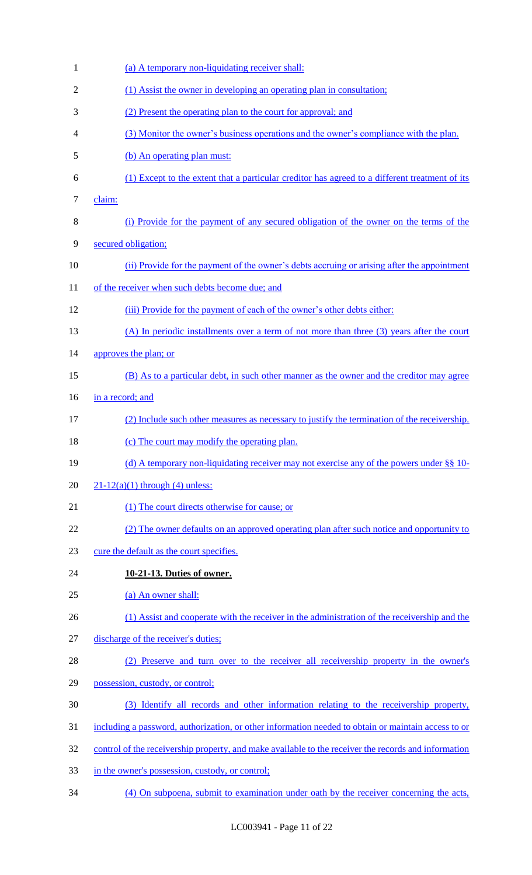| $\mathbf{1}$   | (a) A temporary non-liquidating receiver shall:                                                      |
|----------------|------------------------------------------------------------------------------------------------------|
| $\overline{2}$ | (1) Assist the owner in developing an operating plan in consultation;                                |
| 3              | (2) Present the operating plan to the court for approval; and                                        |
| 4              | (3) Monitor the owner's business operations and the owner's compliance with the plan.                |
| 5              | (b) An operating plan must:                                                                          |
| 6              | (1) Except to the extent that a particular creditor has agreed to a different treatment of its       |
| $\tau$         | claim:                                                                                               |
| 8              | (i) Provide for the payment of any secured obligation of the owner on the terms of the               |
| 9              | secured obligation;                                                                                  |
| 10             | (ii) Provide for the payment of the owner's debts accruing or arising after the appointment          |
| 11             | of the receiver when such debts become due; and                                                      |
| 12             | (iii) Provide for the payment of each of the owner's other debts either:                             |
| 13             | (A) In periodic installments over a term of not more than three (3) years after the court            |
| 14             | approves the plan; or                                                                                |
| 15             | (B) As to a particular debt, in such other manner as the owner and the creditor may agree            |
| 16             | in a record; and                                                                                     |
| 17             | (2) Include such other measures as necessary to justify the termination of the receivership.         |
| 18             | (c) The court may modify the operating plan.                                                         |
| 19             | (d) A temporary non-liquidating receiver may not exercise any of the powers under $\S$ § 10-         |
| 20             | $21-12(a)(1)$ through (4) unless:                                                                    |
| 21             | (1) The court directs otherwise for cause; or                                                        |
| 22             | (2) The owner defaults on an approved operating plan after such notice and opportunity to            |
| 23             | cure the default as the court specifies.                                                             |
| 24             | 10-21-13. Duties of owner.                                                                           |
| 25             | (a) An owner shall:                                                                                  |
| 26             | (1) Assist and cooperate with the receiver in the administration of the receivership and the         |
| 27             | discharge of the receiver's duties;                                                                  |
| 28             | (2) Preserve and turn over to the receiver all receivership property in the owner's                  |
| 29             | possession, custody, or control;                                                                     |
| 30             | (3) Identify all records and other information relating to the receivership property,                |
| 31             | including a password, authorization, or other information needed to obtain or maintain access to or  |
| 32             | control of the receivership property, and make available to the receiver the records and information |
| 33             | in the owner's possession, custody, or control;                                                      |
| 34             | (4) On subpoena, submit to examination under oath by the receiver concerning the acts,               |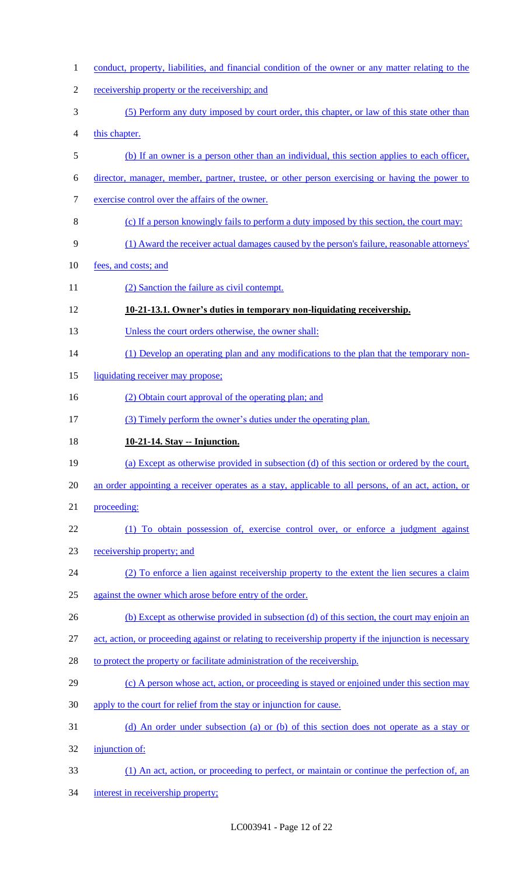conduct, property, liabilities, and financial condition of the owner or any matter relating to the 2 receivership property or the receivership; and (5) Perform any duty imposed by court order, this chapter, or law of this state other than this chapter. (b) If an owner is a person other than an individual, this section applies to each officer, director, manager, member, partner, trustee, or other person exercising or having the power to exercise control over the affairs of the owner. (c) If a person knowingly fails to perform a duty imposed by this section, the court may: (1) Award the receiver actual damages caused by the person's failure, reasonable attorneys' fees, and costs; and 11 (2) Sanction the failure as civil contempt. **10-21-13.1. Owner's duties in temporary non-liquidating receivership.**  13 Unless the court orders otherwise, the owner shall: 14 (1) Develop an operating plan and any modifications to the plan that the temporary non-15 liquidating receiver may propose; 16 (2) Obtain court approval of the operating plan; and (3) Timely perform the owner's duties under the operating plan. **10-21-14. Stay -- Injunction.**  (a) Except as otherwise provided in subsection (d) of this section or ordered by the court, an order appointing a receiver operates as a stay, applicable to all persons, of an act, action, or proceeding: (1) To obtain possession of, exercise control over, or enforce a judgment against receivership property; and (2) To enforce a lien against receivership property to the extent the lien secures a claim against the owner which arose before entry of the order. 26 (b) Except as otherwise provided in subsection (d) of this section, the court may enjoin an 27 act, action, or proceeding against or relating to receivership property if the injunction is necessary 28 to protect the property or facilitate administration of the receivership. 29 (c) A person whose act, action, or proceeding is stayed or enjoined under this section may apply to the court for relief from the stay or injunction for cause. (d) An order under subsection (a) or (b) of this section does not operate as a stay or injunction of: (1) An act, action, or proceeding to perfect, or maintain or continue the perfection of, an interest in receivership property;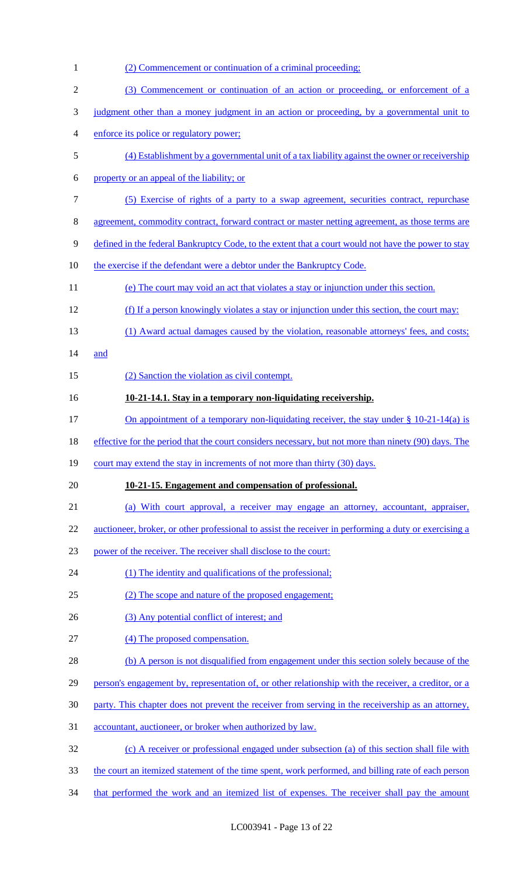| $\mathbf{1}$     | (2) Commencement or continuation of a criminal proceeding:                                                   |
|------------------|--------------------------------------------------------------------------------------------------------------|
| $\mathfrak{2}$   | (3) Commencement or continuation of an action or proceeding, or enforcement of a                             |
| $\mathfrak{Z}$   | judgment other than a money judgment in an action or proceeding, by a governmental unit to                   |
| $\overline{4}$   | enforce its police or regulatory power;                                                                      |
| $\mathfrak s$    | (4) Establishment by a governmental unit of a tax liability against the owner or receivership                |
| 6                | property or an appeal of the liability; or                                                                   |
| $\boldsymbol{7}$ | (5) Exercise of rights of a party to a swap agreement, securities contract, repurchase                       |
| 8                | agreement, commodity contract, forward contract or master netting agreement, as those terms are              |
| $\mathbf{9}$     | defined in the federal Bankruptcy Code, to the extent that a court would not have the power to stay          |
| 10               | the exercise if the defendant were a debtor under the Bankruptcy Code.                                       |
| 11               | (e) The court may void an act that violates a stay or injunction under this section.                         |
| 12               | (f) If a person knowingly violates a stay or injunction under this section, the court may:                   |
| 13               | (1) Award actual damages caused by the violation, reasonable attorneys' fees, and costs;                     |
| 14               | and                                                                                                          |
| 15               | (2) Sanction the violation as civil contempt.                                                                |
| 16               | 10-21-14.1. Stay in a temporary non-liquidating receivership.                                                |
| 17               | <u>On appointment of a temporary non-liquidating receiver, the stay under <math>\S</math> 10-21-14(a) is</u> |
| 18               | effective for the period that the court considers necessary, but not more than ninety (90) days. The         |
| 19               | court may extend the stay in increments of not more than thirty (30) days.                                   |
| 20               | 10-21-15. Engagement and compensation of professional.                                                       |
| 21               | (a) With court approval, a receiver may engage an attorney, accountant, appraiser,                           |
| 22               | auctioneer, broker, or other professional to assist the receiver in performing a duty or exercising a        |
| 23               | power of the receiver. The receiver shall disclose to the court:                                             |
| 24               | (1) The identity and qualifications of the professional;                                                     |
| 25               | (2) The scope and nature of the proposed engagement;                                                         |
| 26               | (3) Any potential conflict of interest; and                                                                  |
| 27               | (4) The proposed compensation.                                                                               |
| 28               | (b) A person is not disqualified from engagement under this section solely because of the                    |
| 29               | person's engagement by, representation of, or other relationship with the receiver, a creditor, or a         |
| 30               | party. This chapter does not prevent the receiver from serving in the receivership as an attorney,           |
| 31               | accountant, auctioneer, or broker when authorized by law.                                                    |
| 32               | (c) A receiver or professional engaged under subsection (a) of this section shall file with                  |
| 33               | the court an itemized statement of the time spent, work performed, and billing rate of each person           |
| 34               | that performed the work and an itemized list of expenses. The receiver shall pay the amount                  |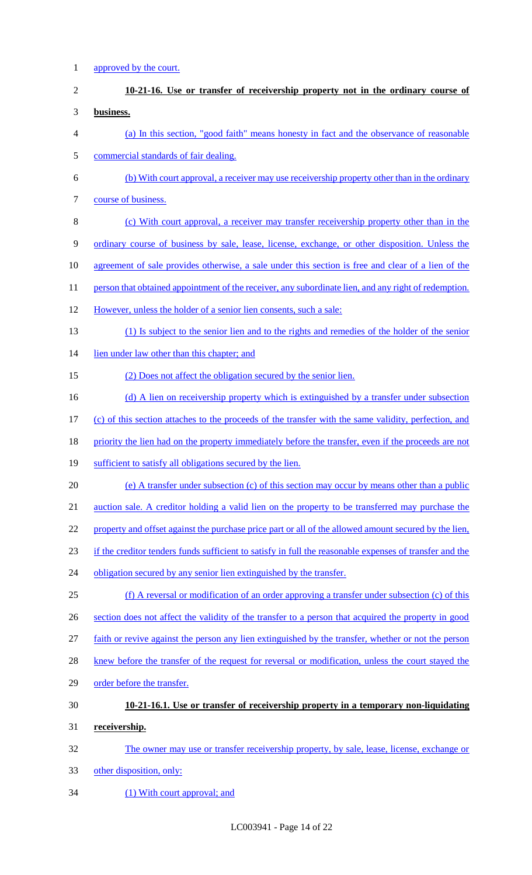approved by the court. **10-21-16. Use or transfer of receivership property not in the ordinary course of business.**  (a) In this section, "good faith" means honesty in fact and the observance of reasonable commercial standards of fair dealing. (b) With court approval, a receiver may use receivership property other than in the ordinary course of business. (c) With court approval, a receiver may transfer receivership property other than in the ordinary course of business by sale, lease, license, exchange, or other disposition. Unless the 10 agreement of sale provides otherwise, a sale under this section is free and clear of a lien of the 11 person that obtained appointment of the receiver, any subordinate lien, and any right of redemption. However, unless the holder of a senior lien consents, such a sale: (1) Is subject to the senior lien and to the rights and remedies of the holder of the senior lien under law other than this chapter; and (2) Does not affect the obligation secured by the senior lien. 16 (d) A lien on receivership property which is extinguished by a transfer under subsection (c) of this section attaches to the proceeds of the transfer with the same validity, perfection, and 18 priority the lien had on the property immediately before the transfer, even if the proceeds are not 19 sufficient to satisfy all obligations secured by the lien. (e) A transfer under subsection (c) of this section may occur by means other than a public auction sale. A creditor holding a valid lien on the property to be transferred may purchase the 22 property and offset against the purchase price part or all of the allowed amount secured by the lien, if the creditor tenders funds sufficient to satisfy in full the reasonable expenses of transfer and the 24 obligation secured by any senior lien extinguished by the transfer. (f) A reversal or modification of an order approving a transfer under subsection (c) of this section does not affect the validity of the transfer to a person that acquired the property in good faith or revive against the person any lien extinguished by the transfer, whether or not the person 28 knew before the transfer of the request for reversal or modification, unless the court stayed the order before the transfer. **10-21-16.1. Use or transfer of receivership property in a temporary non-liquidating receivership.**  The owner may use or transfer receivership property, by sale, lease, license, exchange or other disposition, only: 34 (1) With court approval; and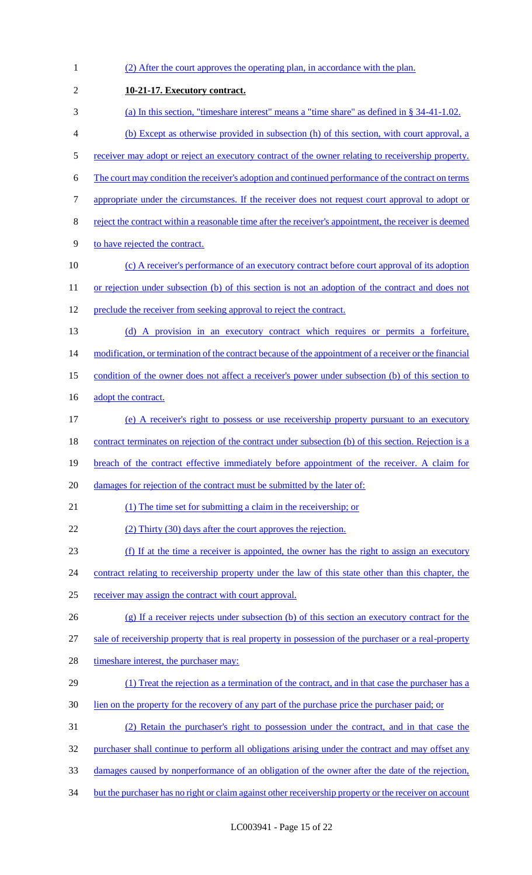1 (2) After the court approves the operating plan, in accordance with the plan. 2 **10-21-17. Executory contract.**  3 (a) In this section, "timeshare interest" means a "time share" as defined in § 34-41-1.02. 4 (b) Except as otherwise provided in subsection (h) of this section, with court approval, a 5 receiver may adopt or reject an executory contract of the owner relating to receivership property. 6 The court may condition the receiver's adoption and continued performance of the contract on terms 7 appropriate under the circumstances. If the receiver does not request court approval to adopt or 8 reject the contract within a reasonable time after the receiver's appointment, the receiver is deemed 9 to have rejected the contract. 10 (c) A receiver's performance of an executory contract before court approval of its adoption 11 or rejection under subsection (b) of this section is not an adoption of the contract and does not 12 preclude the receiver from seeking approval to reject the contract. 13 (d) A provision in an executory contract which requires or permits a forfeiture, 14 modification, or termination of the contract because of the appointment of a receiver or the financial 15 condition of the owner does not affect a receiver's power under subsection (b) of this section to 16 adopt the contract. 17 (e) A receiver's right to possess or use receivership property pursuant to an executory 18 contract terminates on rejection of the contract under subsection (b) of this section. Rejection is a 19 breach of the contract effective immediately before appointment of the receiver. A claim for 20 damages for rejection of the contract must be submitted by the later of: 21 (1) The time set for submitting a claim in the receivership; or 22 (2) Thirty (30) days after the court approves the rejection. 23 (f) If at the time a receiver is appointed, the owner has the right to assign an executory 24 contract relating to receivership property under the law of this state other than this chapter, the 25 receiver may assign the contract with court approval. 26 (g) If a receiver rejects under subsection (b) of this section an executory contract for the 27 sale of receivership property that is real property in possession of the purchaser or a real-property 28 timeshare interest, the purchaser may: 29 (1) Treat the rejection as a termination of the contract, and in that case the purchaser has a 30 lien on the property for the recovery of any part of the purchase price the purchaser paid; or 31 (2) Retain the purchaser's right to possession under the contract, and in that case the 32 purchaser shall continue to perform all obligations arising under the contract and may offset any 33 damages caused by nonperformance of an obligation of the owner after the date of the rejection, 34 but the purchaser has no right or claim against other receivership property or the receiver on account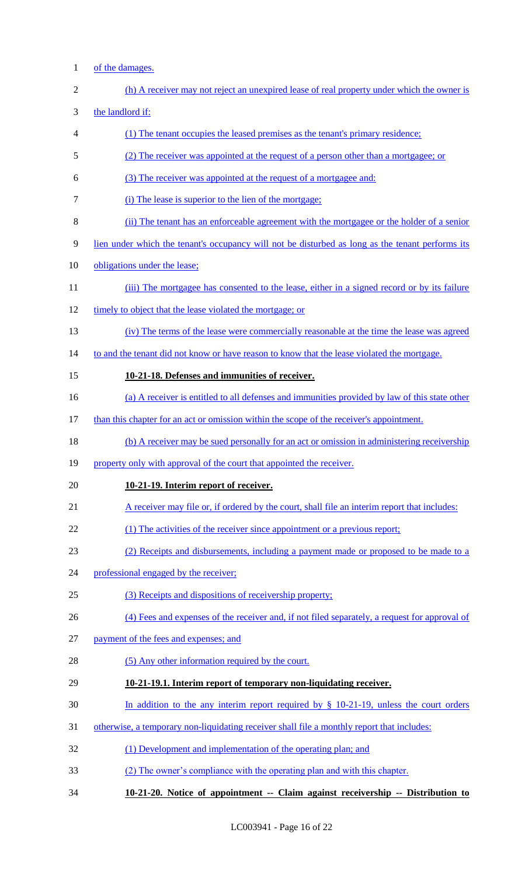1 of the damages.

| $\overline{c}$ | (h) A receiver may not reject an unexpired lease of real property under which the owner is       |
|----------------|--------------------------------------------------------------------------------------------------|
| 3              | the landlord if:                                                                                 |
| 4              | (1) The tenant occupies the leased premises as the tenant's primary residence;                   |
| 5              | (2) The receiver was appointed at the request of a person other than a mortgagee; or             |
| 6              | (3) The receiver was appointed at the request of a mortgagee and:                                |
| 7              | (i) The lease is superior to the lien of the mortgage;                                           |
| 8              | (ii) The tenant has an enforceable agreement with the mortgagee or the holder of a senior        |
| 9              | lien under which the tenant's occupancy will not be disturbed as long as the tenant performs its |
| 10             | obligations under the lease;                                                                     |
| 11             | (iii) The mortgagee has consented to the lease, either in a signed record or by its failure      |
| 12             | timely to object that the lease violated the mortgage; or                                        |
| 13             | (iv) The terms of the lease were commercially reasonable at the time the lease was agreed        |
| 14             | to and the tenant did not know or have reason to know that the lease violated the mortgage.      |
| 15             | 10-21-18. Defenses and immunities of receiver.                                                   |
| 16             | (a) A receiver is entitled to all defenses and immunities provided by law of this state other    |
| 17             | than this chapter for an act or omission within the scope of the receiver's appointment.         |
| 18             | (b) A receiver may be sued personally for an act or omission in administering receivership       |
| 19             | property only with approval of the court that appointed the receiver.                            |
| 20             | 10-21-19. Interim report of receiver.                                                            |
| 21             | A receiver may file or, if ordered by the court, shall file an interim report that includes:     |
| 22             | (1) The activities of the receiver since appointment or a previous report;                       |
| 23             | (2) Receipts and disbursements, including a payment made or proposed to be made to a             |
| 24             | professional engaged by the receiver;                                                            |
| 25             | (3) Receipts and dispositions of receivership property;                                          |
| 26             | (4) Fees and expenses of the receiver and, if not filed separately, a request for approval of    |
| 27             | payment of the fees and expenses; and                                                            |
| 28             | (5) Any other information required by the court.                                                 |
| 29             | 10-21-19.1. Interim report of temporary non-liquidating receiver.                                |
| 30             | In addition to the any interim report required by $\S$ 10-21-19, unless the court orders         |
| 31             | otherwise, a temporary non-liquidating receiver shall file a monthly report that includes:       |
| 32             | (1) Development and implementation of the operating plan; and                                    |
| 33             | (2) The owner's compliance with the operating plan and with this chapter.                        |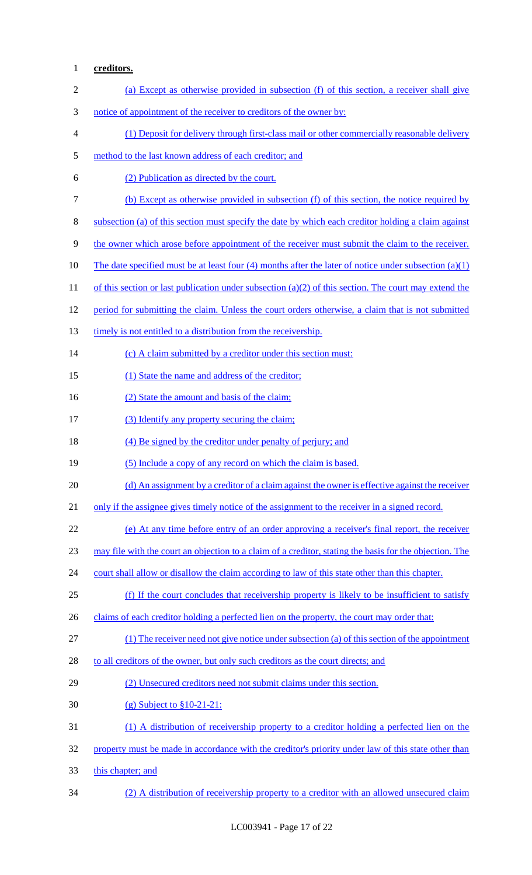## **creditors.**

| $\mathbf{2}$ | (a) Except as otherwise provided in subsection (f) of this section, a receiver shall give               |
|--------------|---------------------------------------------------------------------------------------------------------|
| 3            | notice of appointment of the receiver to creditors of the owner by:                                     |
| 4            | (1) Deposit for delivery through first-class mail or other commercially reasonable delivery             |
| 5            | method to the last known address of each creditor; and                                                  |
| 6            | (2) Publication as directed by the court.                                                               |
| $\tau$       | (b) Except as otherwise provided in subsection (f) of this section, the notice required by              |
| $8\,$        | subsection (a) of this section must specify the date by which each creditor holding a claim against     |
| 9            | the owner which arose before appointment of the receiver must submit the claim to the receiver.         |
| 10           | The date specified must be at least four (4) months after the later of notice under subsection $(a)(1)$ |
| 11           | of this section or last publication under subsection (a)(2) of this section. The court may extend the   |
| 12           | period for submitting the claim. Unless the court orders otherwise, a claim that is not submitted       |
| 13           | timely is not entitled to a distribution from the receivership.                                         |
| 14           | (c) A claim submitted by a creditor under this section must:                                            |
| 15           | (1) State the name and address of the creditor;                                                         |
| 16           | (2) State the amount and basis of the claim;                                                            |
| 17           | (3) Identify any property securing the claim;                                                           |
| 18           | (4) Be signed by the creditor under penalty of perjury; and                                             |
| 19           | (5) Include a copy of any record on which the claim is based.                                           |
| 20           | (d) An assignment by a creditor of a claim against the owner is effective against the receiver          |
| 21           | only if the assignee gives timely notice of the assignment to the receiver in a signed record.          |
| 22           | (e) At any time before entry of an order approving a receiver's final report, the receiver              |
| 23           | may file with the court an objection to a claim of a creditor, stating the basis for the objection. The |
| 24           | court shall allow or disallow the claim according to law of this state other than this chapter.         |
| 25           | (f) If the court concludes that receivership property is likely to be insufficient to satisfy           |
| 26           | claims of each creditor holding a perfected lien on the property, the court may order that:             |
| 27           | (1) The receiver need not give notice under subsection (a) of this section of the appointment           |
| 28           | to all creditors of the owner, but only such creditors as the court directs; and                        |
| 29           | (2) Unsecured creditors need not submit claims under this section.                                      |
| 30           | $(g)$ Subject to $$10-21-21$ :                                                                          |
| 31           | (1) A distribution of receivership property to a creditor holding a perfected lien on the               |
| 32           | property must be made in accordance with the creditor's priority under law of this state other than     |
| 33           | this chapter; and                                                                                       |
| 34           | (2) A distribution of receivership property to a creditor with an allowed unsecured claim               |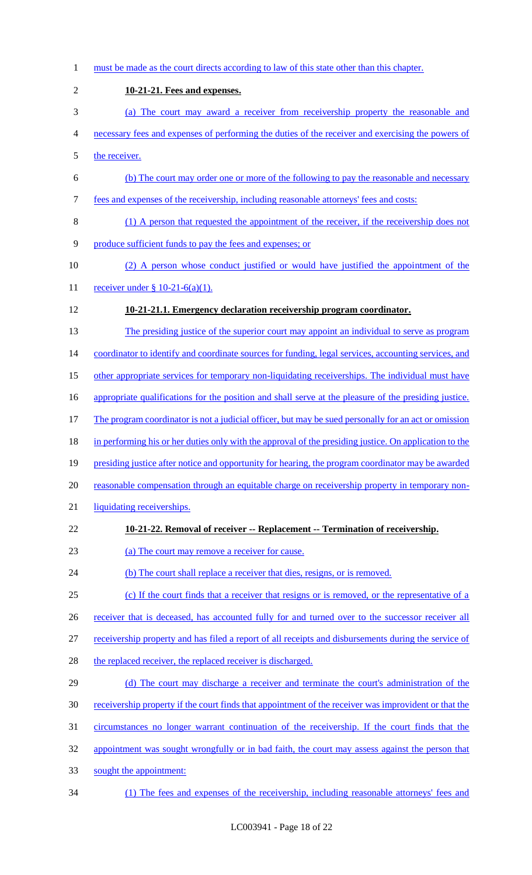must be made as the court directs according to law of this state other than this chapter. **10-21-21. Fees and expenses.**  (a) The court may award a receiver from receivership property the reasonable and necessary fees and expenses of performing the duties of the receiver and exercising the powers of the receiver. (b) The court may order one or more of the following to pay the reasonable and necessary fees and expenses of the receivership, including reasonable attorneys' fees and costs: (1) A person that requested the appointment of the receiver, if the receivership does not produce sufficient funds to pay the fees and expenses; or (2) A person whose conduct justified or would have justified the appointment of the 11 receiver under § 10-21-6(a)(1). **10-21-21.1. Emergency declaration receivership program coordinator.**  13 The presiding justice of the superior court may appoint an individual to serve as program 14 coordinator to identify and coordinate sources for funding, legal services, accounting services, and other appropriate services for temporary non-liquidating receiverships. The individual must have appropriate qualifications for the position and shall serve at the pleasure of the presiding justice. 17 The program coordinator is not a judicial officer, but may be sued personally for an act or omission 18 in performing his or her duties only with the approval of the presiding justice. On application to the presiding justice after notice and opportunity for hearing, the program coordinator may be awarded reasonable compensation through an equitable charge on receivership property in temporary non- liquidating receiverships. **10-21-22. Removal of receiver -- Replacement -- Termination of receivership.**  (a) The court may remove a receiver for cause. 24 (b) The court shall replace a receiver that dies, resigns, or is removed. (c) If the court finds that a receiver that resigns or is removed, or the representative of a 26 receiver that is deceased, has accounted fully for and turned over to the successor receiver all 27 receivership property and has filed a report of all receipts and disbursements during the service of 28 the replaced receiver, the replaced receiver is discharged. (d) The court may discharge a receiver and terminate the court's administration of the receivership property if the court finds that appointment of the receiver was improvident or that the circumstances no longer warrant continuation of the receivership. If the court finds that the 32 appointment was sought wrongfully or in bad faith, the court may assess against the person that sought the appointment: (1) The fees and expenses of the receivership, including reasonable attorneys' fees and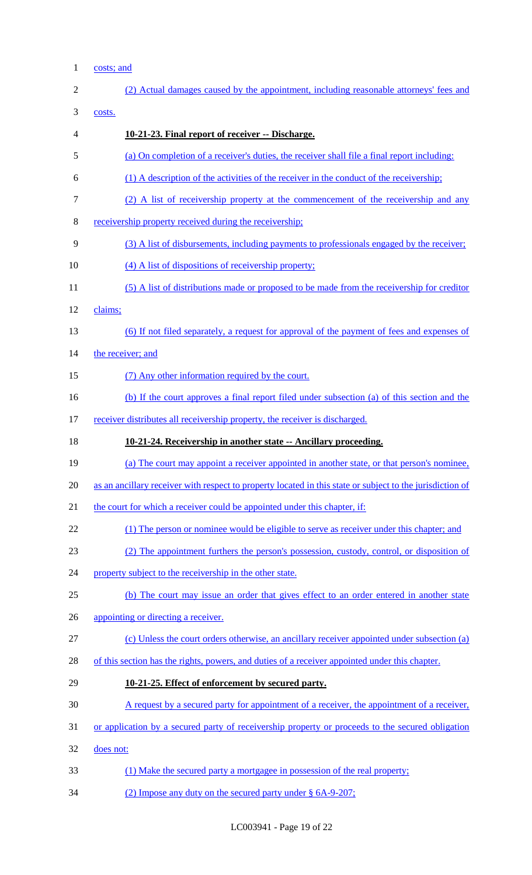1 costs; and

| $\overline{2}$ | (2) Actual damages caused by the appointment, including reasonable attorneys' fees and                    |
|----------------|-----------------------------------------------------------------------------------------------------------|
| 3              | costs.                                                                                                    |
| 4              | 10-21-23. Final report of receiver -- Discharge.                                                          |
| 5              | (a) On completion of a receiver's duties, the receiver shall file a final report including:               |
| 6              | (1) A description of the activities of the receiver in the conduct of the receivership;                   |
| 7              | (2) A list of receivership property at the commencement of the receivership and any                       |
| 8              | receivership property received during the receivership;                                                   |
| 9              | (3) A list of disbursements, including payments to professionals engaged by the receiver;                 |
| 10             | (4) A list of dispositions of receivership property;                                                      |
| 11             | (5) A list of distributions made or proposed to be made from the receivership for creditor                |
| 12             | claims;                                                                                                   |
| 13             | (6) If not filed separately, a request for approval of the payment of fees and expenses of                |
| 14             | the receiver; and                                                                                         |
| 15             | (7) Any other information required by the court.                                                          |
| 16             | (b) If the court approves a final report filed under subsection (a) of this section and the               |
| 17             | receiver distributes all receivership property, the receiver is discharged.                               |
| 18             | 10-21-24. Receivership in another state -- Ancillary proceeding.                                          |
|                |                                                                                                           |
| 19             | (a) The court may appoint a receiver appointed in another state, or that person's nominee.                |
| 20             | as an ancillary receiver with respect to property located in this state or subject to the jurisdiction of |
| 21             | the court for which a receiver could be appointed under this chapter, if:                                 |
| 22             | (1) The person or nominee would be eligible to serve as receiver under this chapter; and                  |
| 23             | (2) The appointment furthers the person's possession, custody, control, or disposition of                 |
|                | property subject to the receivership in the other state.                                                  |
| 24<br>25       | (b) The court may issue an order that gives effect to an order entered in another state                   |
| 26             | appointing or directing a receiver.                                                                       |
| 27             | (c) Unless the court orders otherwise, an ancillary receiver appointed under subsection (a)               |
| 28             | of this section has the rights, powers, and duties of a receiver appointed under this chapter.            |
| 29             | 10-21-25. Effect of enforcement by secured party.                                                         |
| 30             | A request by a secured party for appointment of a receiver, the appointment of a receiver,                |
| 31             | or application by a secured party of receivership property or proceeds to the secured obligation          |
| 32             | does not:                                                                                                 |
| 33             | (1) Make the secured party a mortgagee in possession of the real property;                                |

34 (2) Impose any duty on the secured party under § 6A-9-207;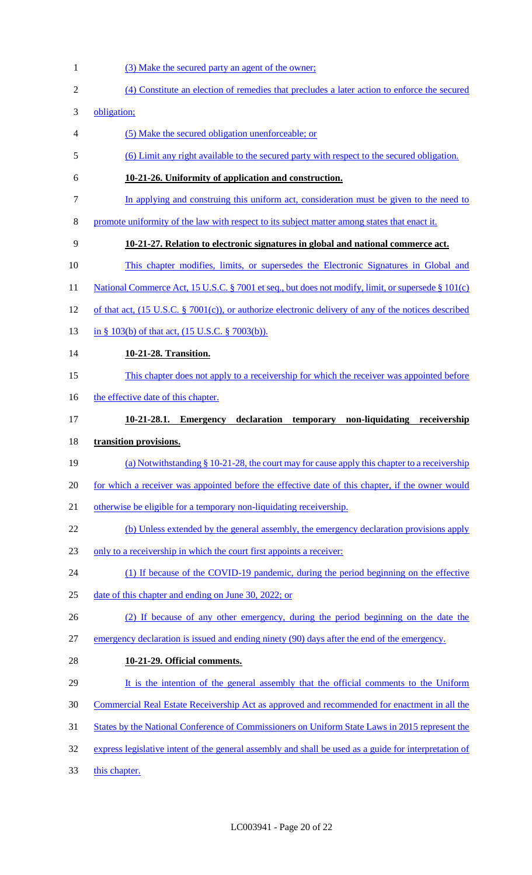- 1 (3) Make the secured party an agent of the owner;
- (4) Constitute an election of remedies that precludes a later action to enforce the secured
- obligation;
- (5) Make the secured obligation unenforceable; or
- (6) Limit any right available to the secured party with respect to the secured obligation.
- **10-21-26. Uniformity of application and construction.**
- In applying and construing this uniform act, consideration must be given to the need to
- promote uniformity of the law with respect to its subject matter among states that enact it.
- **10-21-27. Relation to electronic signatures in global and national commerce act.**
- This chapter modifies, limits, or supersedes the Electronic Signatures in Global and
- 11 National Commerce Act, 15 U.S.C. § 7001 et seq., but does not modify, limit, or supersede § 101(c)
- of that act, (15 U.S.C. § 7001(c)), or authorize electronic delivery of any of the notices described
- 13 in § 103(b) of that act, (15 U.S.C. § 7003(b)).
- **10-21-28. Transition.**
- This chapter does not apply to a receivership for which the receiver was appointed before
- 16 the effective date of this chapter.
- **10-21-28.1. Emergency declaration temporary non-liquidating receivership**
- **transition provisions.**
- 19 (a) Notwithstanding § 10-21-28, the court may for cause apply this chapter to a receivership
- for which a receiver was appointed before the effective date of this chapter, if the owner would
- otherwise be eligible for a temporary non-liquidating receivership.
- 22 (b) Unless extended by the general assembly, the emergency declaration provisions apply
- only to a receivership in which the court first appoints a receiver:
- 24 (1) If because of the COVID-19 pandemic, during the period beginning on the effective
- 25 date of this chapter and ending on June 30, 2022; or
- (2) If because of any other emergency, during the period beginning on the date the
- emergency declaration is issued and ending ninety (90) days after the end of the emergency.
- **10-21-29. Official comments.**
- It is the intention of the general assembly that the official comments to the Uniform
- Commercial Real Estate Receivership Act as approved and recommended for enactment in all the
- States by the National Conference of Commissioners on Uniform State Laws in 2015 represent the
- express legislative intent of the general assembly and shall be used as a guide for interpretation of
- this chapter.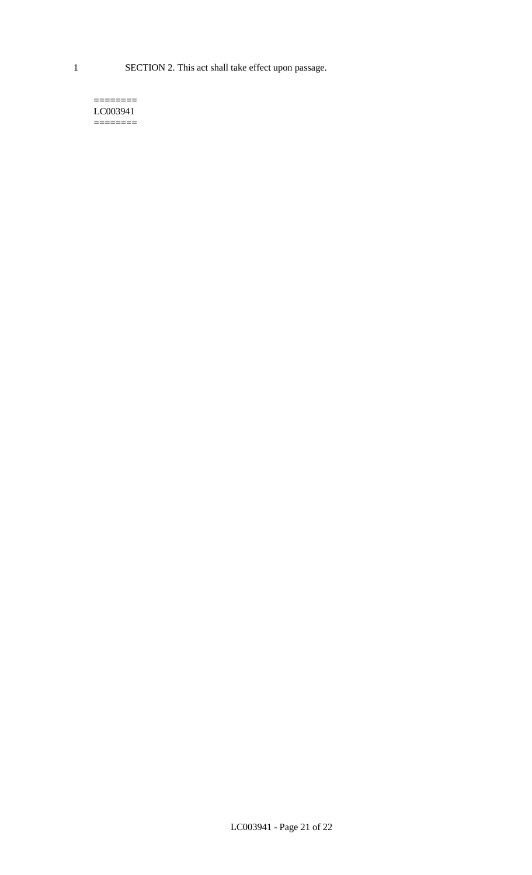1 SECTION 2. This act shall take effect upon passage.

#### $=$ LC003941  $=$